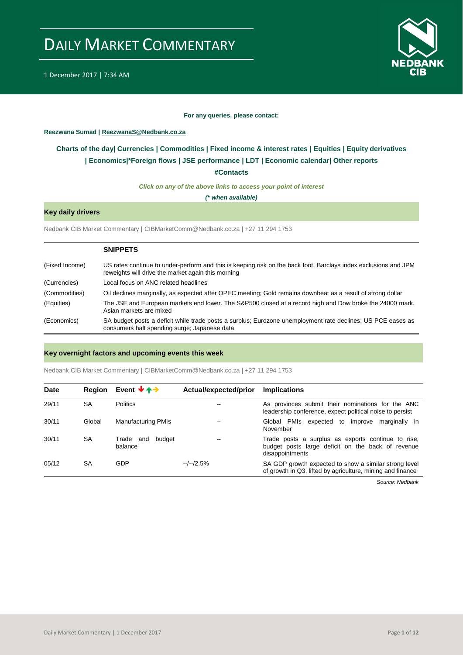



#### **For any queries, please contact:**

#### <span id="page-0-0"></span>**Reezwana Sumad | ReezwanaS@Nedbank.co.za**

### **Charts of the day| [Currencies](#page-2-0) [| Commodities](#page-3-0) | [Fixed income & interest rates](#page-1-0) | [Equities](#page-4-0) | Equity derivatives | [Economics|\\*](#page-7-0)Foreign flows [| JSE performance](#page-4-1) | [LDT](#page-5-0) | [Economic calendar|](#page-9-0) Other reports**

**[#Contacts](#page-10-0)**

*Click on any of the above links to access your point of interest*

*(\* when available)*

### **Key daily drivers**

Nedbank CIB Market Commentary | CIBMarketComm@Nedbank.co.za | +27 11 294 1753

|                | <b>SNIPPETS</b>                                                                                                                                                       |
|----------------|-----------------------------------------------------------------------------------------------------------------------------------------------------------------------|
| (Fixed Income) | US rates continue to under-perform and this is keeping risk on the back foot, Barclays index exclusions and JPM<br>reweights will drive the market again this morning |
| (Currencies)   | Local focus on ANC related headlines                                                                                                                                  |
| (Commodities)  | Oil declines marginally, as expected after OPEC meeting; Gold remains downbeat as a result of strong dollar                                                           |
| (Equities)     | The JSE and European markets end lower. The S&P500 closed at a record high and Dow broke the 24000 mark.<br>Asian markets are mixed                                   |
| (Economics)    | SA budget posts a deficit while trade posts a surplus; Eurozone unemployment rate declines; US PCE eases as<br>consumers halt spending surge; Japanese data           |

#### **Key overnight factors and upcoming events this week**

Nedbank CIB Market Commentary | CIBMarketComm@Nedbank.co.za | +27 11 294 1753

| <b>Date</b> | <b>Region</b> | Event $\forall \land \rightarrow$ | Actual/expected/prior | <b>Implications</b>                                                                                                        |
|-------------|---------------|-----------------------------------|-----------------------|----------------------------------------------------------------------------------------------------------------------------|
| 29/11       | SA            | <b>Politics</b>                   | --                    | As provinces submit their nominations for the ANC<br>leadership conference, expect political noise to persist              |
| 30/11       | Global        | <b>Manufacturing PMIs</b>         | --                    | Global PMIs expected to improve<br>marginally in<br>November                                                               |
| 30/11       | <b>SA</b>     | Trade<br>budget<br>and<br>balance | $- -$                 | Trade posts a surplus as exports continue to rise,<br>budget posts large deficit on the back of revenue<br>disappointments |
| 05/12       | <b>SA</b>     | GDP                               | $-/-/2.5%$            | SA GDP growth expected to show a similar strong level<br>of growth in Q3, lifted by agriculture, mining and finance        |

*Source: Nedbank*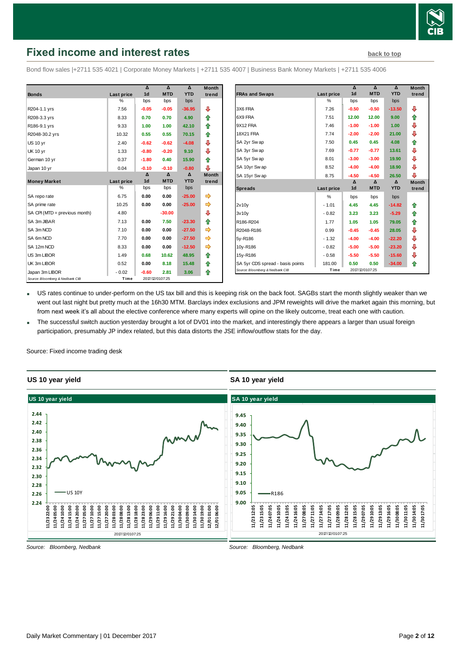

# <span id="page-1-0"></span>**Fixed income and interest rates [back to top](#page-0-0)** back to top

Bond flow sales |+2711 535 4021 | Corporate Money Markets | +2711 535 4007 | Business Bank Money Markets | +2711 535 4006

|                                 |            | Δ              | $\Lambda$       | $\Lambda$  | <b>Month</b> |
|---------------------------------|------------|----------------|-----------------|------------|--------------|
| <b>Bonds</b>                    | Last price | 1 <sub>d</sub> | <b>MTD</b>      | <b>YTD</b> | trend        |
|                                 | %          | bps            | bps             | bps        |              |
| R204-1.1 yrs                    | 7.56       | $-0.05$        | $-0.05$         | $-36.95$   | ⊕            |
| R208-3.3 yrs                    | 8.33       | 0.70           | 0.70            | 4.90       | ⇑            |
| R186-9.1 yrs                    | 9.33       | 1.00           | 1.00            | 42.10      | ♠            |
| R2048-30.2 yrs                  | 10.32      | 0.55           | 0.55            | 70.15      | ♠            |
| <b>US 10 yr</b>                 | 2.40       | $-0.62$        | $-0.62$         | $-4.08$    | ⊕            |
| <b>UK 10 yr</b>                 | 1.33       | $-0.80$        | $-0.20$         | 9.10       | ⊕            |
| German 10 yr                    | 0.37       | $-1.80$        | 0.40            | 15.90      | ♠            |
| Japan 10 yr                     | 0.04       | $-0.10$        | $-0.10$         | $-0.80$    | ⊕            |
|                                 |            | Δ              | Δ               | Δ          | <b>Month</b> |
| <b>Money Market</b>             | Last price | 1 <sub>d</sub> | <b>MTD</b>      | <b>YTD</b> | trend        |
|                                 | %          | bps            | bps             | bps        |              |
| SA repo rate                    | 6.75       | 0.00           | 0.00            | $-25.00$   | ⇛            |
| SA prime rate                   | 10.25      | 0.00           | 0.00            | $-25.00$   | ⇛            |
| SA CPI (MTD = previous month)   | 4.80       |                | $-30.00$        |            | ⊕            |
| SA 3m JIBAR                     | 7.13       | 0.00           | 7.50            | $-23.30$   | ↟            |
| SA 3m NCD                       | 7.10       | 0.00           | 0.00            | $-27.50$   | ⇛            |
| SA 6m NCD                       | 7.70       | 0.00           | 0.00            | $-27.50$   | ⇛            |
| SA 12m NCD                      | 8.33       | 0.00           | 0.00            | $-12.50$   | ⇛            |
| US 3m LIBOR                     | 1.49       | 0.68           | 10.62           | 48.95      | ⇑            |
| UK 3m LIBOR                     | 0.52       | 0.00           | 8.18            | 15.48      | ⇑            |
| Japan 3m LIBOR                  | $-0.02$    | $-0.60$        | 2.81            | 3.06       | ♠            |
| Source: Bloomberg & Nedbank CIB | Time       |                | 2017/12/0107:25 |            |              |

|                                  |            | $\overline{\mathbf{A}}$ | $\overline{\mathbf{v}}$ | $\Delta$   | <b>Month</b> |
|----------------------------------|------------|-------------------------|-------------------------|------------|--------------|
| <b>FRAs and Swaps</b>            | Last price | 1 <sub>d</sub>          | <b>MTD</b>              | <b>YTD</b> | trend        |
|                                  | %          | bps                     | bps                     | bps        |              |
| 3X6 FRA                          | 7.26       | $-0.50$                 | $-0.50$                 | $-13.50$   | ⊕            |
| 6X9 FRA                          | 7.51       | 12.00                   | 12.00                   | 9.00       | ⇑            |
| 9X12 FRA                         | 7.46       | $-1.00$                 | $-1.00$                 | 1.00       | ⇩            |
| <b>18X21 FRA</b>                 | 7.74       | $-2.00$                 | $-2.00$                 | 21.00      | ⊕            |
| SA 2yr Swap                      | 7.50       | 0.45                    | 0.45                    | 4.08       | ⇑            |
| SA 3yr Swap                      | 7.69       | $-0.77$                 | $-0.77$                 | 13.61      | ⊕            |
| SA 5yr Swap                      | 8.01       | $-3.00$                 | $-3.00$                 | 19.90      | ⊕            |
| SA 10yr Swap                     | 8.52       | $-4.00$                 | $-4.00$                 | 18.90      | ⊕            |
| SA 15yr Swap                     | 8.75       | $-4.50$                 | $-4.50$                 | 26.50      | ⊕            |
|                                  |            | Δ                       | Δ                       | Δ          | <b>Month</b> |
| <b>Spreads</b>                   | Last price | 1 <sub>d</sub>          | <b>MTD</b>              | <b>YTD</b> | trend        |
|                                  | %          | bps                     | bps                     | bps        |              |
| 2v10v                            | $-1.01$    | 4.45                    | 4.45                    | $-14.82$   | ⇑            |
| 3v10v                            | $-0.82$    | 3.23                    | 3.23                    | $-5.29$    | ⇑            |
| R186-R204                        | 1.77       | 1.05                    | 1.05                    | 79.05      | ⇑            |
| R2048-R186                       | 0.99       | $-0.45$                 | $-0.45$                 | 28.05      | ⊕            |
| 5y-R186                          | $-1.32$    | $-4.00$                 | $-4.00$                 | $-22.20$   | ⊕            |
| 10y-R186                         | $-0.82$    | $-5.00$                 | $-5.00$                 | $-23.20$   | ⊕            |
| 15y-R186                         | $-0.58$    | $-5.50$                 | $-5.50$                 | $-15.60$   | ⇩            |
| SA 5yr CDS spread - basis points | 181.00     | 0.50                    | 0.50                    | $-34.00$   | ⇑            |
| Source: Bloomberg & Nedbank CIB  | Time       |                         | 2017/12/0107:25         |            |              |

 US rates continue to under-perform on the US tax bill and this is keeping risk on the back foot. SAGBs start the month slightly weaker than we went out last night but pretty much at the 16h30 MTM. Barclays index exclusions and JPM reweights will drive the market again this morning, but from next week it's all about the elective conference where many experts will opine on the likely outcome, treat each one with caution.

 The successful switch auction yesterday brought a lot of DV01 into the market, and interestingly there appears a larger than usual foreign participation, presumably JP index related, but this data distorts the JSE inflow/outflow stats for the day.

Source: Fixed income trading desk

#### **US 10 year yield**

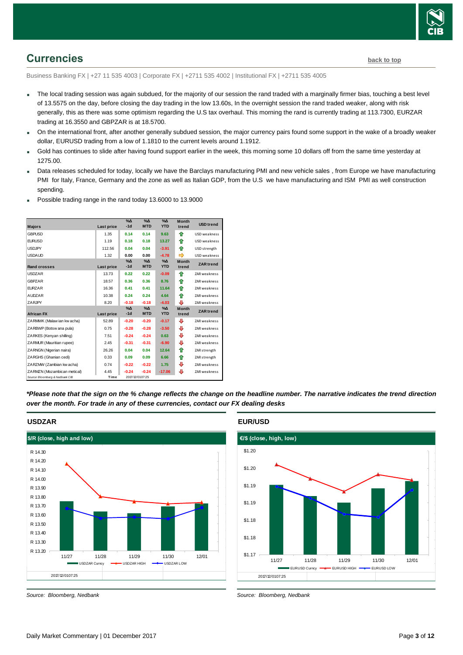

# <span id="page-2-0"></span>**Currencies [back to top](#page-0-0)**

Business Banking FX | +27 11 535 4003 | Corporate FX | +2711 535 4002 | Institutional FX | +2711 535 4005

- The local trading session was again subdued, for the majority of our session the rand traded with a marginally firmer bias, touching a best level of 13.5575 on the day, before closing the day trading in the low 13.60s, In the overnight session the rand traded weaker, along with risk generally, this as there was some optimism regarding the U.S tax overhaul. This morning the rand is currently trading at 113.7300, EURZAR trading at 16.3550 and GBPZAR is at 18.5700.
- On the international front, after another generally subdued session, the major currency pairs found some support in the wake of a broadly weaker dollar, EURUSD trading from a low of 1.1810 to the current levels around 1.1912.
- Gold has continues to slide after having found support earlier in the week, this morning some 10 dollars off from the same time yesterday at 1275.00.
- Data releases scheduled for today, locally we have the Barclays manufacturing PMI and new vehicle sales , from Europe we have manufacturing PMI for Italy, France, Germany and the zone as well as Italian GDP, from the U.S we have manufacturing and ISM PMI as well construction spending.
- **Majors Last price %Δ -1d %Δ MTD YTD USD** trend **GBPUSD** 1.35 **0.14 0.14 9.63 1.60** USD weakness **EURUSD** 1.19 **0.18 0.18 13.27 1** USD weakness USDJPY 112.56 **0.04 0.04 -3.91** # USD strength USDAUD 1.32 **0.00 0.00 −4.78 →** USD weakness **Rand crosses Last price %Δ -1d %Δ MTD %Δ ZAR** trend USDZAR 13.73 **0.22 0.22 -0.09** # ZAR weakness **GBPZAR** 18.57 **0.36 0.36 8.76 1** ZAR weakness **EURZAR** 16.36 **0.41 0.41 11.64 2AR weakness AUDZAR** 10.38 **0.24 0.24 4.64 <b>1** ZAR weakness ZARJPY 8.20 **-0.18 -0.18 -4.03** # ZAR weakness **African FX Last price %Δ -1d %Δ MTD %Δ ZAR** trend 2.020 Month 22AR tree 1d MTD YD trend<br>African FX Last price -1d MTD YTD trend ZAR trend<br>ZARMWK (Malaw ian kw acha) 52.89 -0.20 -0.20 -0.17 ↓ ZAR weakness ZARBWP (Botsw ana pula) 0.75 **-0.28 -0.28 -3.50** # ZAR weakness ZARKES (Kenyan shilling) 7.51 **-0.24 -0.24 0.63** + ZAR weakness ZARMUR (Mauritian rupee) 2.45 **-0.31 -0.31 -6.90** # ZAR weakness ZARNGN (Nigerian naira) 26.26 **0.04 0.04 12.64** # ZAR strength ZARGHS (Ghanian cedi) 0.33 **0.09 0.09 6.66** # ZAR strength 2ARNGN (Nigerian naira) 26.26 **0.04 0.04 12.64 ↑ ZAR strength**<br>2ARGHS (Ghanian cedi) 0.33 0.09 0.09 6.66 ↑ ZAR strength<br>2ARZMW (Zambian kw acha) 0.74 **-0.22 -0.22** 1.75 ↓ ZAR weakness **ZARZMV (Zambian kw acha)**  $0.74$  **-0.22 -0.22** 1.75 **↓** ZAR weakness<br>**ZARMZN (Mozambican metical) 4.45 -0.24 -0.24 -17.06 ↓** ZAR weakness<br>*Source: Bloomberg & Nedbank CIB* Time 2017/12/010725 **Month trend Month trend Month**  trend  $07:25$
- Possible trading range in the rand today 13.6000 to 13.9000

*\*Please note that the sign on the % change reflects the change on the headline number. The narrative indicates the trend direction over the month. For trade in any of these currencies, contact our FX dealing desks*



**USDZAR**

*Source: Bloomberg, Nedbank*

**EUR/USD**



*Source: Bloomberg, Nedbank*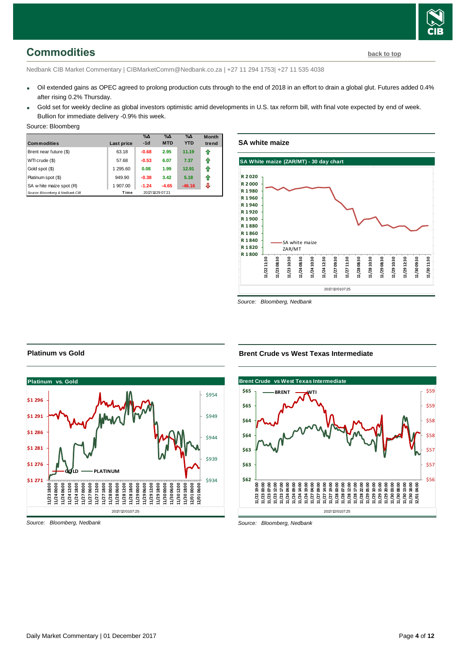# <span id="page-3-0"></span>**Commodities [back to top](#page-0-0)**

Nedbank CIB Market Commentary | CIBMarketComm@Nedbank.co.za | +27 11 294 1753| +27 11 535 4038

- Oil extended gains as OPEC agreed to prolong production cuts through to the end of 2018 in an effort to drain a global glut. Futures added 0.4% after rising 0.2% Thursday.
- Gold set for weekly decline as global investors optimistic amid developments in U.S. tax reform bill, with final vote expected by end of week. Bullion for immediate delivery -0.9% this week.

#### Source: Bloomberg

| <b>Commodities</b>              | Last price | $% \Delta$<br>$-1d$ | $\% \Delta$<br><b>MTD</b> | $\%$ $\Delta$<br><b>YTD</b> | <b>Month</b><br>trend |
|---------------------------------|------------|---------------------|---------------------------|-----------------------------|-----------------------|
| Brent near future (\$)          | 63.18      | $-0.68$             | 2.95                      | 11.19                       | ⇑                     |
| WTI crude (\$)                  | 57.68      | $-0.53$             | 6.07                      | 7.37                        | ⇑                     |
| Gold spot (\$)                  | 1 295.60   | 0.08                | 1.99                      | 12.91                       | 1                     |
| Platinum spot (\$)              | 949.90     | $-0.38$             | 3.42                      | 5.18                        | ⇑                     |
| SA w hite maize spot (R)        | 1 907.00   | $-1.24$             | $-4.65$                   | $-46.16$                    | J                     |
| Source: Bloomberg & Nedbank CIB | Time       |                     | 2017/11/29 07:21          |                             |                       |

**SA white maize**



*Source: Bloomberg, Nedbank*

### **Brent Crude vs West Texas Intermediate**



*Source: Bloomberg, Nedbank*

#### **Platinum vs Gold**



*Source: Bloomberg, Nedbank*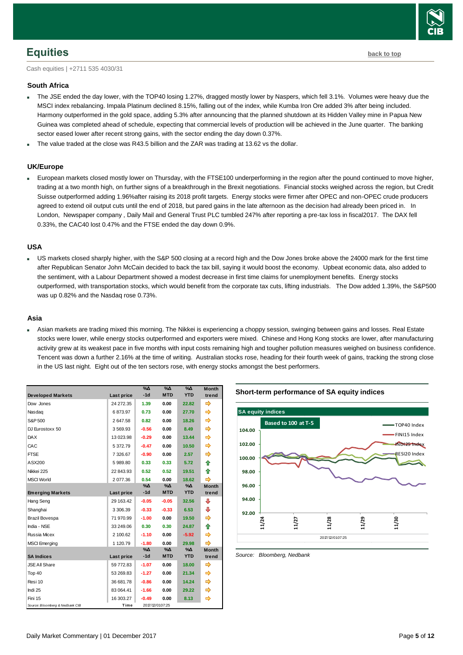

## <span id="page-4-0"></span>**Equities [back to top](#page-0-0)**

Cash equities | +2711 535 4030/31

#### **South Africa**

- The JSE ended the day lower, with the TOP40 losing 1.27%, dragged mostly lower by Naspers, which fell 3.1%. Volumes were heavy due the MSCI index rebalancing. Impala Platinum declined 8.15%, falling out of the index, while Kumba Iron Ore added 3% after being included. Harmony outperformed in the gold space, adding 5.3% after announcing that the planned shutdown at its Hidden Valley mine in Papua New Guinea was completed ahead of schedule, expecting that commercial levels of production will be achieved in the June quarter. The banking sector eased lower after recent strong gains, with the sector ending the day down 0.37%.
- The value traded at the close was R43.5 billion and the ZAR was trading at 13.62 vs the dollar.

#### **UK/Europe**

 European markets closed mostly lower on Thursday, with the FTSE100 underperforming in the region after the pound continued to move higher, trading at a two month high, on further signs of a breakthrough in the Brexit negotiations. Financial stocks weighed across the region, but Credit Suisse outperformed adding 1.96%after raising its 2018 profit targets. Energy stocks were firmer after OPEC and non-OPEC crude producers agreed to extend oil output cuts until the end of 2018, but pared gains in the late afternoon as the decision had already been priced in. In London, Newspaper company , Daily Mail and General Trust PLC tumbled 247% after reporting a pre-tax loss in fiscal2017. The DAX fell 0.33%, the CAC40 lost 0.47% and the FTSE ended the day down 0.9%.

#### **USA**

US markets closed sharply higher, with the S&P 500 closing at a record high and the Dow Jones broke above the 24000 mark for the first time after Republican Senator John McCain decided to back the tax bill, saying it would boost the economy. Upbeat economic data, also added to the sentiment, with a Labour Department showed a modest decrease in first time claims for unemployment benefits. Energy stocks outperformed, with transportation stocks, which would benefit from the corporate tax cuts, lifting industrials. The Dow added 1.39%, the S&P500 was up 0.82% and the Nasdaq rose 0.73%.

#### **Asia**

 Asian markets are trading mixed this morning. The Nikkei is experiencing a choppy session, swinging between gains and losses. Real Estate stocks were lower, while energy stocks outperformed and exporters were mixed. Chinese and Hong Kong stocks are lower, after manufacturing activity grew at its weakest pace in five months with input costs remaining high and tougher pollution measures weighed on business confidence. Tencent was down a further 2.16% at the time of writing. Australian stocks rose, heading for their fourth week of gains, tracking the strong close in the US last night. Eight out of the ten sectors rose, with energy stocks amongst the best performers.

| <b>Developed Markets</b>        | Last price | $\%$ $\Delta$<br>$-1d$ | $\%$ $\Delta$<br><b>MTD</b> | $\%$ $\Delta$<br><b>YTD</b> | <b>Month</b><br>trend |
|---------------------------------|------------|------------------------|-----------------------------|-----------------------------|-----------------------|
| Dow Jones                       | 24 272.35  | 1.39                   | 0.00                        | 22.82                       |                       |
| Nasdag                          | 6873.97    | 0.73                   | 0.00                        | 27.70                       | ⇛                     |
| S&P 500                         | 2647.58    | 0.82                   | 0.00                        | 18.26                       | ⇛                     |
| DJ Eurostoxx 50                 | 3569.93    | $-0.56$                | 0.00                        | 8.49                        | ⇛                     |
| <b>DAX</b>                      | 13 023.98  | $-0.29$                | 0.00                        | 13.44                       | ⇛                     |
| CAC                             | 5 372.79   | $-0.47$                | 0.00                        | 10.50                       | ⇛                     |
| <b>FTSE</b>                     | 7 326.67   | $-0.90$                | 0.00                        | 2.57                        | ⇛                     |
| ASX200                          | 5989.80    | 0.33                   | 0.33                        | 5.72                        | ♠                     |
| Nikkei 225                      | 22 843.93  | 0.52                   | 0.52                        | 19.51                       | ♠                     |
| <b>MSCI World</b>               | 2 077.36   | 0.54                   | 0.00                        | 18.62                       | ⇛                     |
|                                 |            | %Δ                     | %Δ                          | %Δ                          | <b>Month</b>          |
| <b>Emerging Markets</b>         | Last price | $-1d$                  | <b>MTD</b>                  | <b>YTD</b>                  | trend                 |
| Hang Seng                       | 29 163.42  | $-0.05$                | $-0.05$                     | 32.56                       | ⊕                     |
| Shanghai                        | 3 306.39   | $-0.33$                | $-0.33$                     | 6.53                        | ⇩                     |
| Brazil Bovespa                  | 71 970.99  | $-1.00$                | 0.00                        | 19.50                       |                       |
| India - NSE                     | 33 249.06  | 0.30                   | 0.30                        | 24.87                       | ♠                     |
| Russia Micex                    | 2 100.62   | $-1.10$                | 0.00                        | $-5.92$                     |                       |
| <b>MSCI</b> Emerging            | 1 120.79   | $-1.80$                | 0.00                        | 29.98                       |                       |
|                                 |            | %Δ                     | %Δ                          | %Δ                          | <b>Month</b>          |
| <b>SA Indices</b>               | Last price | $-1d$                  | <b>MTD</b>                  | <b>YTD</b>                  | trend                 |
| <b>JSE All Share</b>            | 59 772.83  | $-1.07$                | 0.00                        | 18.00                       | ⇛                     |
| Top 40                          | 53 269.83  | $-1.27$                | 0.00                        | 21.34                       |                       |
| Resi 10                         | 36 681.78  | $-0.86$                | 0.00                        | 14.24                       | ⇛                     |
| Indi 25                         | 83 064.41  | $-1.66$                | 0.00                        | 29.22                       |                       |
| Fini 15                         | 16 303.27  | $-0.49$                | 0.00                        | 8.13                        | ⇛                     |
| Source: Bloomberg & Nedbank CIB | Time       |                        | 2017/12/0107:25             |                             |                       |

#### **Short-term performance of SA equity indices**



<span id="page-4-1"></span>*Source: Bloomberg, Nedbank*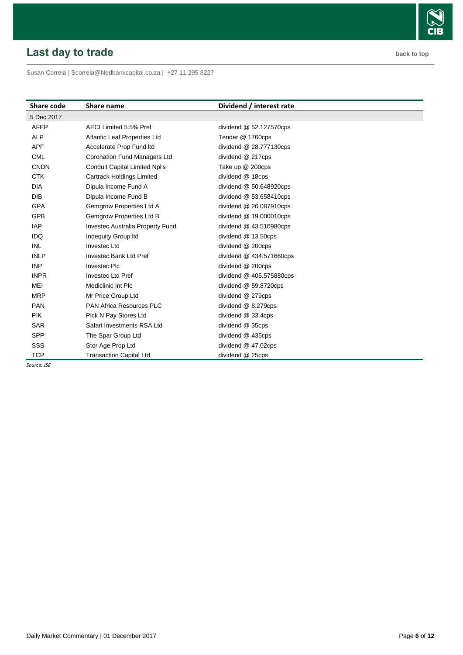# <span id="page-5-0"></span>**Last day to trade back to the contract of the contract of the contract of the contract of the contract of the contract of the contract of the contract of the contract of the contract of the contract of the contract of t**

Susan Correia [| Scorreia@Nedbankcapital.co.za](mailto:Scorreia@Nedbankcapital.co.za) | +27 11 295 8227

| <b>Share code</b> | Share name                           | Dividend / interest rate  |
|-------------------|--------------------------------------|---------------------------|
| 5 Dec 2017        |                                      |                           |
| <b>AFEP</b>       | AECI Limited 5.5% Pref               | dividend $@$ 52.127570cps |
| <b>ALP</b>        | <b>Atlantic Leaf Properties Ltd</b>  | Tender @ 1760cps          |
| <b>APF</b>        | Accelerate Prop Fund Itd             | dividend @ 28.777130cps   |
| <b>CML</b>        | <b>Coronation Fund Managers Ltd</b>  | dividend @ 217cps         |
| <b>CNDN</b>       | <b>Conduit Capital Limited Npl's</b> | Take up @ 200cps          |
| <b>CTK</b>        | <b>Cartrack Holdings Limited</b>     | dividend @ 18cps          |
| <b>DIA</b>        | Dipula Income Fund A                 | dividend $@$ 50.648920cps |
| DIB               | Dipula Income Fund B                 | dividend $@$ 53.658410cps |
| <b>GPA</b>        | Gemgrow Properties Ltd A             | dividend @ 26.087910cps   |
| <b>GPB</b>        | Gemgrow Properties Ltd B             | dividend @ 19.000010cps   |
| <b>IAP</b>        | Investec Australia Property Fund     | dividend $@$ 43.510980cps |
| <b>IDQ</b>        | <b>Indequity Group Itd</b>           | dividend @ 13.50cps       |
| <b>INL</b>        | Investec Ltd                         | dividend @ 200cps         |
| <b>INLP</b>       | Investec Bank Ltd Pref               | dividend @ 434.571660cps  |
| <b>INP</b>        | <b>Investec PIc</b>                  | dividend @ 200cps         |
| <b>INPR</b>       | <b>Invested Ltd Pref</b>             | dividend @ 405.575880cps  |
| MEI               | Mediclinic Int Plc                   | dividend $@$ 59.8720cps   |
| <b>MRP</b>        | Mr Price Group Ltd                   | dividend @ 279cps         |
| <b>PAN</b>        | <b>PAN Africa Resources PLC</b>      | dividend @ 8.279cps       |
| <b>PIK</b>        | Pick N Pay Stores Ltd                | dividend @ 33.4cps        |
| <b>SAR</b>        | Safari Investments RSA Ltd           | dividend @ 35cps          |
| <b>SPP</b>        | The Spar Group Ltd                   | dividend @ 435cps         |
| SSS               | Stor Age Prop Ltd                    | dividend $@$ 47.02cps     |
| <b>TCP</b>        | <b>Transaction Capital Ltd</b>       | dividend @ 25cps          |

*Source: JSE*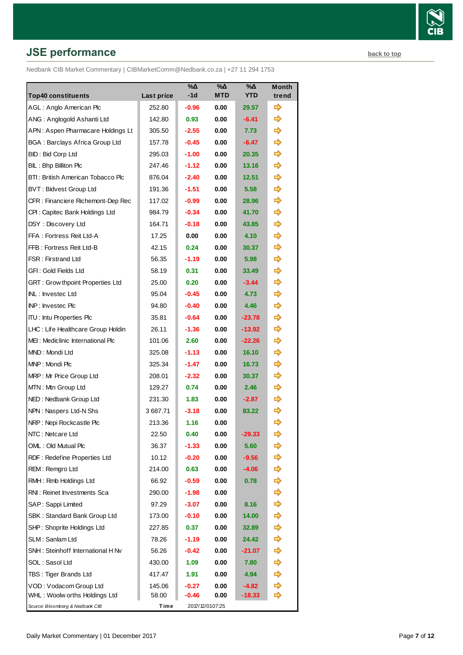# **JSE performance [back to top](#page-0-0) back to top**

Nedbank CIB Market Commentary | CIBMarketComm@Nedbank.co.za | +27 11 294 1753

| <b>Top40 constituents</b>             | Last price | %Δ<br>-1d | $\%$ $\Delta$<br><b>MTD</b> | $\% \Delta$<br><b>YTD</b> | Month<br>trend |
|---------------------------------------|------------|-----------|-----------------------------|---------------------------|----------------|
| AGL: Anglo American Plc               | 252.80     | $-0.96$   | 0.00                        | 29.57                     | ⇛              |
| ANG: Anglogold Ashanti Ltd            | 142.80     | 0.93      | 0.00                        | $-6.41$                   | ⇛              |
| APN: Aspen Pharmacare Holdings Lt     | 305.50     | $-2.55$   | 0.00                        | 7.73                      |                |
| <b>BGA: Barclays Africa Group Ltd</b> | 157.78     | -0.45     | 0.00                        | -6.47                     | ⇛              |
| BID: Bid Corp Ltd                     | 295.03     | $-1.00$   | 0.00                        | 20.35                     | ⇛              |
| BIL: Bhp Billiton Plc                 | 247.46     | $-1.12$   | 0.00                        | 13.16                     | ⇛              |
| BTI: British American Tobacco Plc     | 876.04     | $-2.40$   | 0.00                        | 12.51                     | ⇛              |
| BVT: Bidvest Group Ltd                | 191.36     | $-1.51$   | 0.00                        | 5.58                      | ⇛              |
| CFR: Financiere Richemont-Dep Rec     | 117.02     | $-0.99$   | 0.00                        | 28.96                     | ⇨              |
| CPI: Capitec Bank Holdings Ltd        | 984.79     | $-0.34$   | 0.00                        | 41.70                     | ⇛              |
| DSY: Discovery Ltd                    | 164.71     | $-0.18$   | 0.00                        | 43.85                     | ⇨              |
| FFA: Fortress Reit Ltd-A              | 17.25      | 0.00      | 0.00                        | 4.10                      | ⇨              |
| FFB: Fortress Reit Ltd-B              | 42.15      | 0.24      | 0.00                        | 30.37                     | ⇛              |
| <b>FSR: Firstrand Ltd</b>             | 56.35      | $-1.19$   | 0.00                        | 5.98                      | ⇨              |
| GFI: Gold Fields Ltd                  | 58.19      | 0.31      | 0.00                        | 33.49                     | ⇛              |
| GRT : Grow thpoint Properties Ltd     | 25.00      | 0.20      | 0.00                        | $-3.44$                   | ⇛              |
| INL: Investec Ltd                     | 95.04      | $-0.45$   | 0.00                        | 4.73                      | ⇨              |
| INP: Investec Plc                     | 94.80      | $-0.40$   | 0.00                        | 4.46                      | ⇨              |
| <b>ITU:</b> Intu Properties Plc       | 35.81      | $-0.64$   | 0.00                        | $-23.78$                  | ⇨              |
| LHC: Life Healthcare Group Holdin     | 26.11      | $-1.36$   | 0.00                        | $-13.92$                  | ⇨              |
| MEI: Mediclinic International Plc     | 101.06     | 2.60      | 0.00                        | $-22.26$                  |                |
| MND: Mondi Ltd                        | 325.08     | $-1.13$   | 0.00                        | 16.10                     |                |
| MNP: Mondi Plc                        | 325.34     | -1.47     | 0.00                        | 16.73                     | ⇨              |
| MRP: Mr Price Group Ltd               | 208.01     | $-2.32$   | 0.00                        | 30.37                     | ⇨              |
| MTN: Mtn Group Ltd                    | 129.27     | 0.74      | 0.00                        | 2.46                      |                |
| NED: Nedbank Group Ltd                | 231.30     | 1.83      | 0.00                        | $-2.87$                   | ⇨              |
| NPN: Naspers Ltd-N Shs                | 3 687.71   | $-3.18$   | 0.00                        | 83.22                     | ⇨              |
| NRP: Nepi Rockcastle Plc              | 213.36     | 1.16      | 0.00                        |                           | ⇨              |
| NTC: Netcare Ltd                      | 22.50      | 0.40      | 0.00                        | -29.33                    | ➾              |
| OML: Old Mutual Plc                   | 36.37      | $-1.33$   | 0.00                        | 5.60                      |                |
| RDF: Redefine Properties Ltd          | 10.12      | $-0.20$   | 0.00                        | $-9.56$                   | ➾              |
| REM: Remgro Ltd                       | 214.00     | 0.63      | 0.00                        | $-4.06$                   |                |
| RMH: Rmb Holdings Ltd                 | 66.92      | $-0.59$   | 0.00                        | 0.78                      |                |
| RNI: Reinet Investments Sca           | 290.00     | -1.98     | 0.00                        |                           | ➡              |
| SAP: Sappi Limited                    | 97.29      | $-3.07$   | 0.00                        | 8.16                      | ➾              |
| SBK: Standard Bank Group Ltd          | 173.00     | $-0.10$   | 0.00                        | 14.00                     | ➾              |
| SHP: Shoprite Holdings Ltd            | 227.85     | 0.37      | 0.00                        | 32.89                     | ➾              |
| SLM: Sanlam Ltd                       | 78.26      | -1.19     | 0.00                        | 24.42                     | ⇨              |
| SNH: Steinhoff International H Nv     | 56.26      | $-0.42$   | 0.00                        | $-21.07$                  | ➾              |
| SOL: Sasol Ltd                        | 430.00     | 1.09      | 0.00                        | 7.80                      | ⇨              |
| TBS: Tiger Brands Ltd                 | 417.47     | 1.91      | 0.00                        | 4.94                      | ⇨              |
| VOD: Vodacom Group Ltd                | 145.06     | $-0.27$   | 0.00                        | $-4.82$                   | ⇨              |
| WHL: Woolw orths Holdings Ltd         | 58.00      | $-0.46$   | 0.00                        | $-18.33$                  | ⇨              |
| Source: Bloomberg & Nedbank CIB       | Time       |           | 2017/12/0107:25             |                           |                |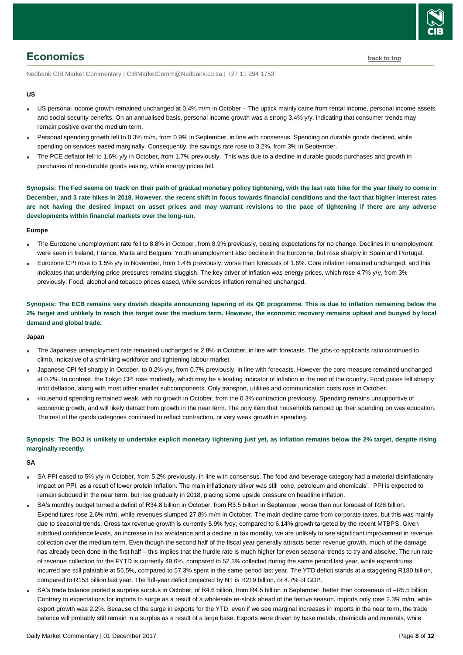

## <span id="page-7-0"></span>**Economics [back to top](#page-0-0)**

Nedbank CIB Market Commentary | CIBMarketComm@Nedbank.co.za | +27 11 294 1753

#### **US**

- US personal income growth remained unchanged at 0.4% m/m in October The uptick mainly came from rental income, personal income assets and social security benefits. On an annualised basis, personal income growth was a strong 3.4% y/y, indicating that consumer trends may remain positive over the medium term.
- Personal spending growth fell to 0.3% m/m, from 0.9% in September, in line with consensus. Spending on durable goods declined, while spending on services eased marginally. Consequently, the savings rate rose to 3.2%, from 3% in September.
- The PCE deflator fell to 1.6% y/y in October, from 1.7% previously. This was due to a decline in durable goods purchases and growth in purchases of non-durable goods easing, while energy prices fell.

**Synopsis: The Fed seems on track on their path of gradual monetary policy tightening, with the last rate hike for the year likely to come in December, and 3 rate hikes in 2018. However, the recent shift in focus towards financial conditions and the fact that higher interest rates are not having the desired impact on asset prices and may warrant revisions to the pace of tightening if there are any adverse developments within financial markets over the long-run.**

#### **Europe**

- The Eurozone unemployment rate fell to 8.8% in October, from 8.9% previously, beating expectations for no change. Declines in unemployment were seen in Ireland, France, Malta and Belgium. Youth unemployment also decline in the Eurozone, but rose sharply in Spain and Portugal.
- Eurozone CPI rose to 1.5% y/y in November, from 1.4% previously, worse than forecasts of 1.6%. Core inflation remained unchanged, and this indicates that underlying price pressures remains sluggish. The key driver of inflation was energy prices, which rose 4.7% y/y, from 3% previously. Food, alcohol and tobacco prices eased, while services inflation remained unchanged.

**Synopsis: The ECB remains very dovish despite announcing tapering of its QE programme. This is due to inflation remaining below the 2% target and unlikely to reach this target over the medium term. However, the economic recovery remains upbeat and buoyed by local demand and global trade.**

#### **Japan**

- The Japanese unemployment rate remained unchanged at 2.8% in October, in line with forecasts. The jobs-to-applicants ratio continued to climb, indicative of a shrinking workforce and tightening labour market.
- Japanese CPI fell sharply in October, to 0.2% y/y, from 0.7% previously, in line with forecasts. However the core measure remained unchanged at 0.2%. In contrast, the Tokyo CPI rose modestly, which may be a leading indicator of inflation in the rest of the country. Food prices fell sharply infot deflation, along with most other smaller subcomponents. Only transport, utilities and communication costs rose in October.
- Household spending remained weak, with no growth in October, from the 0.3% contraction previously. Spending remains unsupportive of economic growth, and will likely detract from growth in the near term. The only item that households ramped up their spending on was education. The rest of the goods categories continued to reflect contraction, or very weak growth in spending.

#### **Synopsis: The BOJ is unlikely to undertake explicit monetary tightening just yet, as inflation remains below the 2% target, despite rising marginally recently.**

#### **SA**

- SA PPI eased to 5% y/y in October, from 5.2% previously, in line with consensus. The food and beverage category had a material disinflationary impact on PPI, as a result of lower protein inflation. The main inflationary driver was still 'coke, petroleum and chemicals'. PPI is expected to remain subdued in the near term, but rise gradually in 2018, placing some upside pressure on headline inflation.
- SA's monthly budget turned a deficit of R34.8 billion in October, from R3.5 billion in September, worse than our forecast of R28 billion. Expenditures rose 2.6% m/m, while revenues slumped 27.8% m/m in October. The main decline came from corporate taxes, but this was mainly due to seasonal trends. Gross tax revenue growth is currently 5.9% fyoy, compared to 6.14% growth targeted by the recent MTBPS. Given subdued confidence levels, an increase in tax avoidance and a decline in tax morality, we are unlikely to see significant improvement in revenue collection over the medium term. Even though the second half of the fiscal year generally attracts better revenue growth, much of the damage has already been done in the first half – this implies that the hurdle rate is much higher for even seasonal trends to try and absolve. The run rate of revenue collection for the FYTD is currently 49.6%, compared to 52.3% collected during the same period last year, while expenditures incurred are still palatable at 56.5%, compared to 57.3% spent in the same period last year. The YTD deficit stands at a staggering R180 billion, compared to R153 billion last year. The full-year deficit projected by NT is R219 billion, or 4.7% of GDP.
- SA's trade balance posted a surprise surplus in October, of R4.6 billion, from R4.5 billion in September, better than consensus of –R5.5 billion. Contrary to expectations for imports to surge as a result of a wholesale re-stock ahead of the festive season, imports only rose 2.3% m/m, while export growth was 2.2%. Because of the surge in exports for the YTD, even if we see marginal increases in imports in the near term, the trade balance will probably still remain in a surplus as a result of a large base. Exports were driven by base metals, chemicals and minerals, while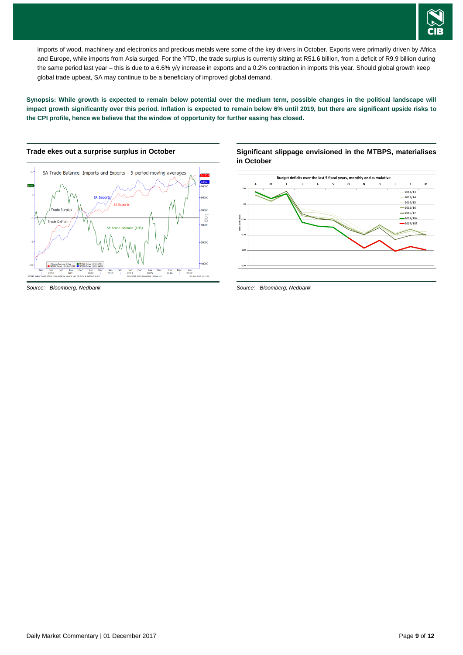

imports of wood, machinery and electronics and precious metals were some of the key drivers in October. Exports were primarily driven by Africa and Europe, while imports from Asia surged. For the YTD, the trade surplus is currently sitting at R51.6 billion, from a deficit of R9.9 billion during the same period last year – this is due to a 6.6% y/y increase in exports and a 0.2% contraction in imports this year. Should global growth keep global trade upbeat, SA may continue to be a beneficiary of improved global demand.

**Synopsis: While growth is expected to remain below potential over the medium term, possible changes in the political landscape will impact growth significantly over this period. Inflation is expected to remain below 6% until 2019, but there are significant upside risks to the CPI profile, hence we believe that the window of opportunity for further easing has closed.**



**Significant slippage envisioned in the MTBPS, materialises in October**



*Source: Bloomberg, Nedbank*

*Source: Bloomberg, Nedbank*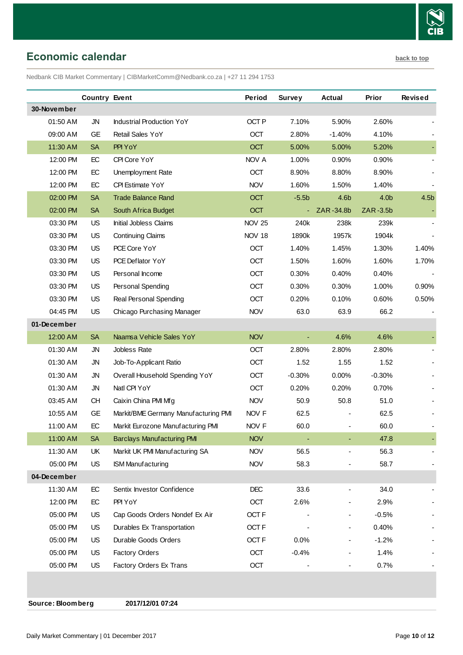

# <span id="page-9-0"></span>**Economic calendar [back to top](#page-0-0)**

Nedbank CIB Market Commentary | CIBMarketComm@Nedbank.co.za | +27 11 294 1753

|             | <b>Country Event</b> |                                      | Period           | <b>Survey</b> | <b>Actual</b> | Prior            | <b>Revised</b>   |
|-------------|----------------------|--------------------------------------|------------------|---------------|---------------|------------------|------------------|
| 30-November |                      |                                      |                  |               |               |                  |                  |
| 01:50 AM    | <b>JN</b>            | <b>Industrial Production YoY</b>     | OCT <sub>P</sub> | 7.10%         | 5.90%         | 2.60%            |                  |
| 09:00 AM    | <b>GE</b>            | Retail Sales YoY                     | <b>OCT</b>       | 2.80%         | $-1.40%$      | 4.10%            |                  |
| 11:30 AM    | <b>SA</b>            | PPI YoY                              | <b>OCT</b>       | 5.00%         | 5.00%         | 5.20%            |                  |
| 12:00 PM    | EC                   | CPI Core YoY                         | NOV A            | 1.00%         | 0.90%         | 0.90%            |                  |
| 12:00 PM    | EC                   | Unemployment Rate                    | OCT              | 8.90%         | 8.80%         | 8.90%            |                  |
| 12:00 PM    | EC                   | CPI Estimate YoY                     | <b>NOV</b>       | 1.60%         | 1.50%         | 1.40%            |                  |
| 02:00 PM    | <b>SA</b>            | <b>Trade Balance Rand</b>            | OCT              | $-5.5b$       | 4.6b          | 4.0 <sub>b</sub> | 4.5 <sub>b</sub> |
| 02:00 PM    | <b>SA</b>            | South Africa Budget                  | <b>OCT</b>       |               | ZAR-34.8b     | ZAR-3.5b         |                  |
| 03:30 PM    | US                   | Initial Jobless Claims               | <b>NOV 25</b>    | 240k          | 238k          | 239k             |                  |
| 03:30 PM    | <b>US</b>            | <b>Continuing Claims</b>             | <b>NOV 18</b>    | 1890k         | 1957k         | 1904k            |                  |
| 03:30 PM    | <b>US</b>            | PCE Core YoY                         | OCT              | 1.40%         | 1.45%         | 1.30%            | 1.40%            |
| 03:30 PM    | <b>US</b>            | PCE Deflator YoY                     | OCT              | 1.50%         | 1.60%         | 1.60%            | 1.70%            |
| 03:30 PM    | <b>US</b>            | Personal Income                      | OCT              | 0.30%         | 0.40%         | 0.40%            |                  |
| 03:30 PM    | US                   | Personal Spending                    | <b>OCT</b>       | 0.30%         | 0.30%         | 1.00%            | 0.90%            |
| 03:30 PM    | US                   | Real Personal Spending               | OCT              | 0.20%         | 0.10%         | 0.60%            | 0.50%            |
| 04:45 PM    | <b>US</b>            | Chicago Purchasing Manager           | <b>NOV</b>       | 63.0          | 63.9          | 66.2             |                  |
| 01-December |                      |                                      |                  |               |               |                  |                  |
| 12:00 AM    | <b>SA</b>            | Naamsa Vehicle Sales YoY             | <b>NOV</b>       |               | 4.6%          | 4.6%             |                  |
| 01:30 AM    | JN                   | Jobless Rate                         | OCT              | 2.80%         | 2.80%         | 2.80%            |                  |
| 01:30 AM    | JN                   | Job-To-Applicant Ratio               | OCT              | 1.52          | 1.55          | 1.52             |                  |
| 01:30 AM    | JN                   | Overall Household Spending YoY       | OCT              | $-0.30%$      | 0.00%         | $-0.30%$         |                  |
| 01:30 AM    | JN                   | Natl CPI YoY                         | OCT              | 0.20%         | 0.20%         | 0.70%            |                  |
| 03:45 AM    | <b>CH</b>            | Caixin China PMI Mfg                 | <b>NOV</b>       | 50.9          | 50.8          | 51.0             |                  |
| 10:55 AM    | <b>GE</b>            | Markit/BME Germany Manufacturing PMI | NOV F            | 62.5          |               | 62.5             |                  |
| 11:00 AM    | EC                   | Markit Eurozone Manufacturing PMI    | NOV F            | 60.0          |               | 60.0             |                  |
| 11:00 AM    | <b>SA</b>            | <b>Barclays Manufacturing PMI</b>    | <b>NOV</b>       |               |               | 47.8             |                  |
| 11:30 AM    | UK                   | Markit UK PMI Manufacturing SA       | <b>NOV</b>       | 56.5          |               | 56.3             |                  |
| 05:00 PM    | <b>US</b>            | <b>ISM Manufacturing</b>             | <b>NOV</b>       | 58.3          |               | 58.7             |                  |
| 04-December |                      |                                      |                  |               |               |                  |                  |
| 11:30 AM    | EC                   | Sentix Investor Confidence           | <b>DEC</b>       | 33.6          |               | 34.0             |                  |
| 12:00 PM    | EC                   | PPI YoY                              | OCT              | 2.6%          |               | 2.9%             |                  |
| 05:00 PM    | US                   | Cap Goods Orders Nondef Ex Air       | OCT <sub>F</sub> |               |               | $-0.5%$          |                  |
| 05:00 PM    | US                   | Durables Ex Transportation           | OCT <sub>F</sub> |               |               | 0.40%            |                  |
| 05:00 PM    | US                   | Durable Goods Orders                 | OCT <sub>F</sub> | 0.0%          |               | $-1.2%$          |                  |
| 05:00 PM    | <b>US</b>            | <b>Factory Orders</b>                | OCT              | $-0.4%$       |               | 1.4%             |                  |
| 05:00 PM    | <b>US</b>            | Factory Orders Ex Trans              | OCT              |               |               | 0.7%             |                  |
|             |                      |                                      |                  |               |               |                  |                  |

**Source: Bloomberg 2017/12/01 07:24**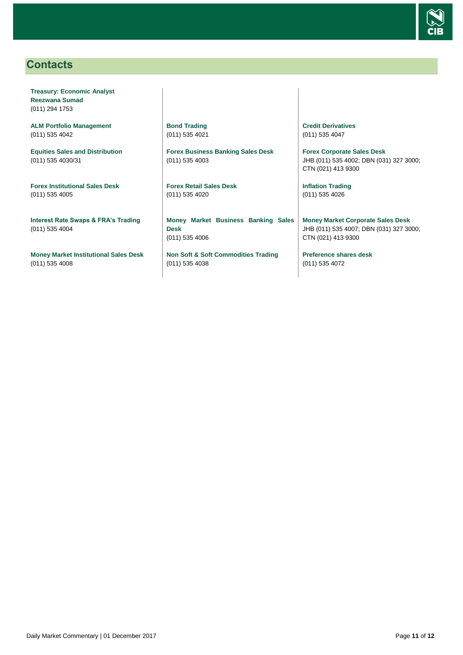

# <span id="page-10-0"></span>**Contacts**

**Treasury: Economic Analyst Reezwana Sumad** (011) 294 1753

**ALM Portfolio Management** (011) 535 4042

**Equities Sales and Distribution** (011) 535 4030/31

**Forex Institutional Sales Desk** (011) 535 4005

**Interest Rate Swaps & FRA's Trading** (011) 535 4004

**Money Market Institutional Sales Desk** (011) 535 4008

**Bond Trading** (011) 535 4021

**Forex Business Banking Sales Desk** (011) 535 4003

**Forex Retail Sales Desk** (011) 535 4020

**Money Market Business Banking Sales Desk** (011) 535 4006

**Non Soft & Soft Commodities Trading** (011) 535 4038

**Credit Derivatives**  (011) 535 4047

**Forex Corporate Sales Desk** JHB (011) 535 4002; DBN (031) 327 3000; CTN (021) 413 9300

**Inflation Trading** (011) 535 4026

**Money Market Corporate Sales Desk** JHB (011) 535 4007; DBN (031) 327 3000; CTN (021) 413 9300

**Preference shares desk** (011) 535 4072